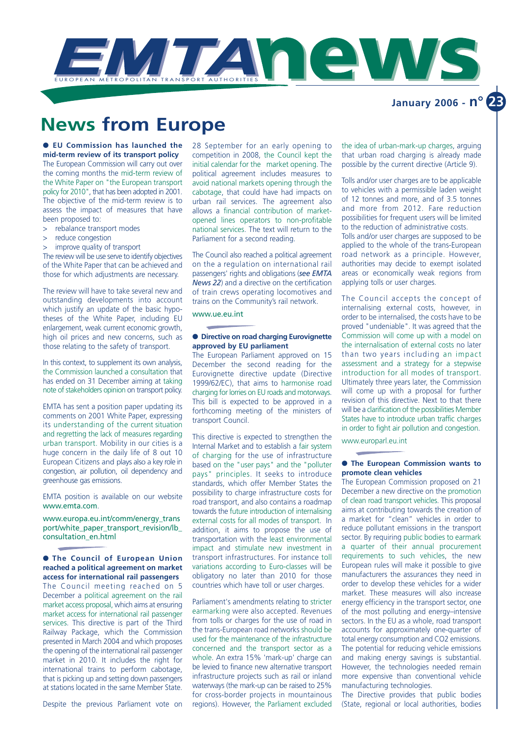

## **News from Europe**

● **EU Commission has launched the mid-term review of its transport policy** The European Commission will carry out over the coming months the mid-term review of the White Paper on "the European transport policy for 2010", that has been adopted in 2001. The objective of the mid-term review is to assess the impact of measures that have been proposed to:

- > rebalance transport modes
- > reduce congestion
- improve quality of transport

The review will be use serve to identify objectives of the White Paper that can be achieved and those for which adjustments are necessary.

The review will have to take several new and outstanding developments into account which justify an update of the basic hypotheses of the White Paper, including EU enlargement, weak current economic growth, high oil prices and new concerns, such as those relating to the safety of transport.

In this context, to supplement its own analysis, the Commission launched a consultation that has ended on 31 December aiming at taking note of stakeholders opinion on transport policy.

EMTA has sent a position paper updating its comments on 2001 White Paper, expressing its understanding of the current situation and regretting the lack of measures regarding urban transport. Mobility in our cities is a huge concern in the daily life of 8 out 10 European Citizens and plays also a key role in congestion, air pollution, oil dependency and greenhouse gas emissions.

EMTA position is available on our website www.emta.com.

www.europa.eu.int/comm/energy\_trans port/white\_paper\_transport\_revision/lb\_ consultation\_en.html

● **The Council of European Union reached a political agreement on market access for international rail passengers** The Council meeting reached on 5 December a political agreement on the rail market access proposal, which aims at ensuring market access for international rail passenger services. This directive is part of the Third Railway Package, which the Commission presented in March 2004 and which proposes the opening of the international rail passenger market in 2010. It includes the right for international trains to perform cabotage, that is picking up and setting down passengers at stations located in the same Member State.

Despite the previous Parliament vote on

28 September for an early opening to competition in 2008, the Council kept the initial calendar for the market opening. The political agreement includes measures to avoid national markets opening through the cabotage, that could have had impacts on urban rail services. The agreement also allows a financial contribution of marketopened lines operators to non-profitable national services. The text will return to the Parliament for a second reading.

The Council also reached a political agreement on the a regulation on international rail passengers' rights and obligations (*see EMTA News 22*) and a directive on the certification of train crews operating locomotives and trains on the Community's rail network.

www.ue.eu.int

#### ● **Directive on road charging Eurovignette approved by EU parliament**

The European Parliament approved on 15 December the second reading for the Eurovignette directive update (Directive 1999/62/EC), that aims to harmonise road charging for lorries on EU roads and motorways. This bill is expected to be approved in a forthcoming meeting of the ministers of transport Council.

This directive is expected to strengthen the Internal Market and to establish a fair system of charging for the use of infrastructure based on the "user pays" and the "polluter pays" principles. It seeks to introduce standards, which offer Member States the possibility to charge infrastructure costs for road transport, and also contains a roadmap towards the future introduction of internalising external costs for all modes of transport. In addition, it aims to propose the use of transportation with the least environmental impact and stimulate new investment in transport infrastructures. For instance toll variations according to Euro-classes will be obligatory no later than 2010 for those countries which have toll or user charges.

Parliament's amendments relating to stricter earmarking were also accepted. Revenues from tolls or charges for the use of road in the trans-European road networks should be used for the maintenance of the infrastructure concerned and the transport sector as a whole. An extra 15% 'mark-up' charge can be levied to finance new alternative transport infrastructure projects such as rail or inland waterways (the mark-up can be raised to 25% for cross-border projects in mountainous regions). However, the Parliament excluded

the idea of urban-mark-up charges, arguing that urban road charging is already made possible by the current directive (Article 9).

Tolls and/or user charges are to be applicable to vehicles with a permissible laden weight of 12 tonnes and more, and of 3.5 tonnes and more from 2012. Fare reduction possibilities for frequent users will be limited to the reduction of administrative costs. Tolls and/or user charges are supposed to be applied to the whole of the trans-European road network as a principle. However, authorities may decide to exempt isolated areas or economically weak regions from applying tolls or user charges.

The Council accepts the concept of internalising external costs, however, in order to be internalised, the costs have to be proved "undeniable". It was agreed that the Commission will come up with a model on the internalisation of external costs no later than two years including an impact assessment and a strategy for a stepwise introduction for all modes of transport. Ultimately three years later, the Commission will come up with a proposal for further revision of this directive. Next to that there will be a clarification of the possibilities Member States have to introduce urban traffic charges in order to fight air pollution and congestion.

www.europarl.eu.int

#### ● **The European Commission wants to promote clean vehicles**

The European Commission proposed on 21 December a new directive on the promotion of clean road transport vehicles. This proposal aims at contributing towards the creation of a market for "clean" vehicles in order to reduce pollutant emissions in the transport sector. By requiring public bodies to earmark a quarter of their annual procurement requirements to such vehicles, the new European rules will make it possible to give manufacturers the assurances they need in order to develop these vehicles for a wider market. These measures will also increase energy efficiency in the transport sector, one of the most polluting and energy–intensive sectors. In the EU as a whole, road transport accounts for approximately one-quarter of total energy consumption and CO2 emissions. The potential for reducing vehicle emissions and making energy savings is substantial. However, the technologies needed remain more expensive than conventional vehicle manufacturing technologies.

The Directive provides that public bodies (State, regional or local authorities, bodies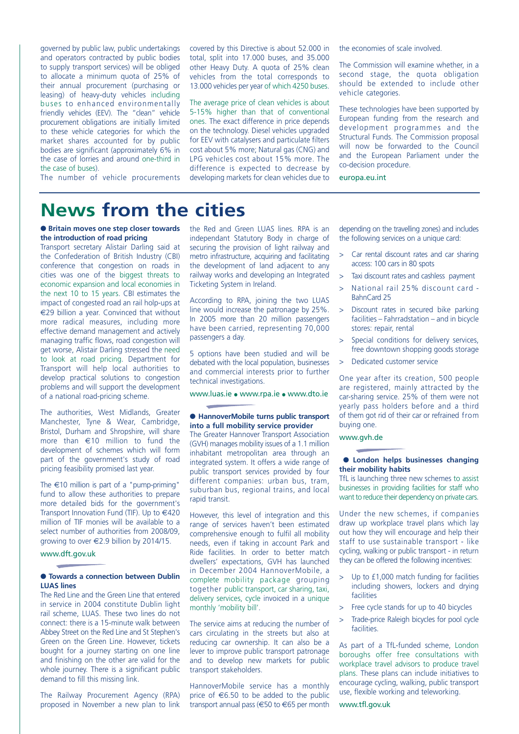governed by public law, public undertakings and operators contracted by public bodies to supply transport services) will be obliged to allocate a minimum quota of 25% of their annual procurement (purchasing or leasing) of heavy-duty vehicles including buses to enhanced environmentally friendly vehicles (EEV). The "clean" vehicle procurement obligations are initially limited to these vehicle categories for which the market shares accounted for by public bodies are significant (approximately 6% in the case of lorries and around one-third in the case of buses).

The number of vehicle procurements

covered by this Directive is about 52.000 in total, split into 17.000 buses, and 35.000 other Heavy Duty. A quota of 25% clean vehicles from the total corresponds to 13.000 vehicles per year of which 4250 buses.

The average price of clean vehicles is about 5-15% higher than that of conventional ones. The exact difference in price depends on the technology. Diesel vehicles upgraded for EEV with catalysers and particulate filters cost about 5% more; Natural gas (CNG) and LPG vehicles cost about 15% more. The difference is expected to decrease by developing markets for clean vehicles due to the economies of scale involved.

The Commission will examine whether, in a second stage, the quota obligation should be extended to include other vehicle categories.

These technologies have been supported by European funding from the research and development programmes and the Structural Funds. The Commission proposal will now be forwarded to the Council and the European Parliament under the co-decision procedure.

europa.eu.int

# **News from the cities**

#### ● **Britain moves one step closer towards the introduction of road pricing**

Transport secretary Alistair Darling said at the Confederation of British Industry (CBI) conference that congestion on roads in cities was one of the biggest threats to economic expansion and local economies in the next 10 to 15 years. CBI estimates the impact of congested road an rail holp-ups at €29 billion a year. Convinced that without more radical measures, including more effective demand management and actively managing traffic flows, road congestion will get worse, Alistair Darling stressed the need to look at road pricing. Department for Transport will help local authorities to develop practical solutions to congestion problems and will support the development of a national road-pricing scheme.

The authorities, West Midlands, Greater Manchester, Tyne & Wear, Cambridge, Bristol, Durham and Shropshire, will share more than €10 million to fund the development of schemes which will form part of the government's study of road pricing feasibility promised last year.

The  $\epsilon$ 10 million is part of a "pump-priming" fund to allow these authorities to prepare more detailed bids for the government's Transport Innovation Fund (TIF). Up to  $\in$ 420 million of TIF monies will be available to a select number of authorities from 2008/09 growing to over €2.9 billion by 2014/15.

#### www.dft.gov.uk

### ● **Towards a connection between Dublin LUAS lines**

The Red Line and the Green Line that entered in service in 2004 constitute Dublin light rail scheme, LUAS. These two lines do not connect: there is a 15-minute walk between Abbey Street on the Red Line and St Stephen's Green on the Green Line. However, tickets bought for a journey starting on one line and finishing on the other are valid for the whole journey. There is a significant public demand to fill this missing link.

The Railway Procurement Agency (RPA) proposed in November a new plan to link the Red and Green LUAS lines. RPA is an independant Statutory Body in charge of securing the provision of light railway and metro infrastructure, acquiring and facilitating the development of land adjacent to any railway works and developing an Integrated Ticketing System in Ireland.

According to RPA, joining the two LUAS line would increase the patronage by 25%. In 2005 more than 20 million passengers have been carried, representing 70,000 passengers a day.

5 options have been studied and will be debated with the local population, businesses and commercial interests prior to further technical investigations.

www.luas.ie ● www.rpa.ie ● www.dto.ie

#### ● **HannoverMobile turns public transport into a full mobility service provider**

The Greater Hannover Transport Association (GVH) manages mobility issues of a 1.1 million inhabitant metropolitan area through an integrated system. It offers a wide range of public transport services provided by four different companies: urban bus, tram, suburban bus, regional trains, and local rapid transit.

However, this level of integration and this range of services haven't been estimated comprehensive enough to fulfil all mobility needs, even if taking in account Park and Ride facilities. In order to better match dwellers' expectations, GVH has launched in December 2004 HannoverMobile, a complete mobility package grouping together public transport, car sharing, taxi, delivery services, cycle invoiced in a unique monthly 'mobility bill'.

The service aims at reducing the number of cars circulating in the streets but also at reducing car ownership. It can also be a lever to improve public transport patronage and to develop new markets for public transport stakeholders.

HannoverMobile service has a monthly price of  $€6.50$  to be added to the public transport annual pass (€50 to €65 per month

depending on the travelling zones) and includes the following services on a unique card:

- > Car rental discount rates and car sharing access: 100 cars in 80 spots
- > Taxi discount rates and cashless payment
- > National rail 25% discount card BahnCard 25
- > Discount rates in secured bike parking facilities – Fahrradstation – and in bicycle stores: repair, rental
- > Special conditions for delivery services, free downtown shopping goods storage
- Dedicated customer service

One year after its creation, 500 people are registered, mainly attracted by the car-sharing service. 25% of them were not yearly pass holders before and a third of them got rid of their car or refrained from buying one.

#### www.gvh.de

#### ● **London helps businesses changing their mobility habits**

TfL is launching three new schemes to assist businesses in providing facilities for staff who want to reduce their dependency on private cars.

Under the new schemes, if companies draw up workplace travel plans which lay out how they will encourage and help their staff to use sustainable transport - like cycling, walking or public transport - in return they can be offered the following incentives:

- Up to £1,000 match funding for facilities including showers, lockers and drying **facilities**
- > Free cycle stands for up to 40 bicycles
- > Trade-price Raleigh bicycles for pool cycle facilities.

As part of a TfL-funded scheme, London boroughs offer free consultations with workplace travel advisors to produce travel plans. These plans can include initiatives to encourage cycling, walking, public transport use, flexible working and teleworking.

www.tfl.gov.uk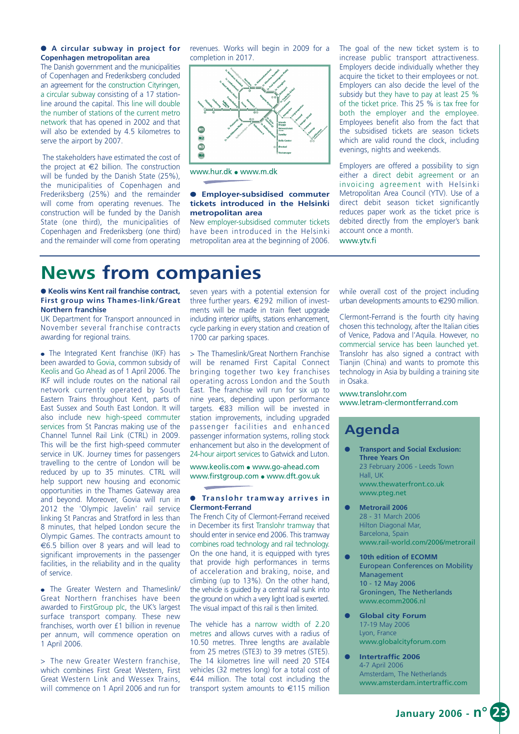#### ● **A circular subway in project for Copenhagen metropolitan area**

The Danish government and the municipalities of Copenhagen and Frederiksberg concluded an agreement for the construction Cityringen, a circular subway consisting of a 17 stationline around the capital. This line will double the number of stations of the current metro network that has opened in 2002 and that will also be extended by 4.5 kilometres to serve the airport by 2007.

The stakeholders have estimated the cost of the project at  $\epsilon$ 2 billion. The construction will be funded by the Danish State (25%), the municipalities of Copenhagen and Frederiksberg (25%) and the remainder will come from operating revenues. The construction will be funded by the Danish State (one third), the municipalities of Copenhagen and Frederiksberg (one third) and the remainder will come from operating revenues. Works will begin in 2009 for a completion in 2017.



www.hur.dk ● www.m.dk

#### ● **Employer-subsidised commuter tickets introduced in the Helsinki metropolitan area**

New employer-subsidised commuter tickets have been introduced in the Helsinki metropolitan area at the beginning of 2006.

The goal of the new ticket system is to increase public transport attractiveness. Employers decide individually whether they acquire the ticket to their employees or not. Employers can also decide the level of the subsidy but they have to pay at least 25 % of the ticket price. This 25 % is tax free for both the employer and the employee. Employees benefit also from the fact that the subsidised tickets are season tickets which are valid round the clock, including evenings, nights and weekends.

Employers are offered a possibility to sign either a direct debit agreement or an invoicing agreement with Helsinki Metropolitan Area Council (YTV). Use of a direct debit season ticket significantly reduces paper work as the ticket price is debited directly from the employer's bank account once a month.

www.ytv.fi

# **News from companies**

#### ● **Keolis wins Kent rail franchise contract, First group wins Thames-link/Great Northern franchise**

UK Department for Transport announced in November several franchise contracts awarding for regional trains.

• The Integrated Kent franchise (IKF) has been awarded to Govia, common subsidy of Keolis and Go Ahead as of 1 April 2006. The IKF will include routes on the national rail network currently operated by South Eastern Trains throughout Kent, parts of East Sussex and South East London. It will also include new high-speed commuter services from St Pancras making use of the Channel Tunnel Rail Link (CTRL) in 2009. This will be the first high-speed commuter service in UK. Journey times for passengers travelling to the centre of London will be reduced by up to 35 minutes. CTRL will help support new housing and economic opportunities in the Thames Gateway area and beyond. Moreover, Govia will run in 2012 the 'Olympic Javelin' rail service linking St Pancras and Stratford in less than 8 minutes, that helped London secure the Olympic Games. The contracts amount to €6.5 billion over 8 years and will lead to significant improvements in the passenger facilities, in the reliability and in the quality of service.

● The Greater Western and Thameslink/ Great Northern franchises have been awarded to FirstGroup plc, the UK's largest surface transport company. These new franchises, worth over £1 billion in revenue per annum, will commence operation on 1 April 2006.

> The new Greater Western franchise, which combines First Great Western, First Great Western Link and Wessex Trains, will commence on 1 April 2006 and run for seven years with a potential extension for three further years. €292 million of investments will be made in train fleet upgrade including interior uplifts, stations enhancement, cycle parking in every station and creation of 1700 car parking spaces.

> The Thameslink/Great Northern Franchise will be renamed First Capital Connect bringing together two key franchises operating across London and the South East. The franchise will run for six up to nine years, depending upon performance targets. €83 million will be invested in station improvements, including upgraded passenger facilities and enhanced passenger information systems, rolling stock enhancement but also in the development of 24-hour airport services to Gatwick and Luton.

www.keolis.com ● www.go-ahead.com www.firstgroup.com ● www.dft.gov.uk

#### ● **Translohr tramway arrives in Clermont-Ferrand**

The French City of Clermont-Ferrand received in December its first Translohr tramway that should enter in service end 2006. This tramway combines road technology and rail technology. On the one hand, it is equipped with tyres that provide high performances in terms of acceleration and braking, noise, and climbing (up to 13%). On the other hand, the vehicle is guided by a central rail sunk into the ground on which a very light load is exerted. The visual impact of this rail is then limited.

The vehicle has a narrow width of 2.20 metres and allows curves with a radius of 10.50 metres. Three lengths are available from 25 metres (STE3) to 39 metres (STE5). The 14 kilometres line will need 20 STE4 vehicles (32 metres long) for a total cost of €44 million. The total cost including the transport system amounts to €115 million while overall cost of the project including urban developments amounts to €290 million.

Clermont-Ferrand is the fourth city having chosen this technology, after the Italian cities of Venice, Padova and l'Aquila. However, no commercial service has been launched yet. Translohr has also signed a contract with Tianjin (China) and wants to promote this technology in Asia by building a training site in Osaka.

www.translohr.com www.letram-clermontferrand.com

### **Agenda**

- **Transport and Social Exclusion: Three Years On** 23 February 2006 - Leeds Town Hall, UK www.thewaterfront.co.uk www.pteg.net
- **Metrorail 2006**  28 - 31 March 2006 Hilton Diagonal Mar, Barcelona, Spain www.rail-world.com/2006/metrorail
- **10th edition of ECOMM** European Conferences on Mobility Management 10 - 12 May 2006 Groningen, The Netherlands www.ecomm2006.nl
- **Global city Forum** 17-19 May 2006 Lyon, France www.globalcityforum.com
- **Intertraffic 2006** 4-7 April 2006 Amsterdam, The Netherlands www.amsterdam.intertraffic.com